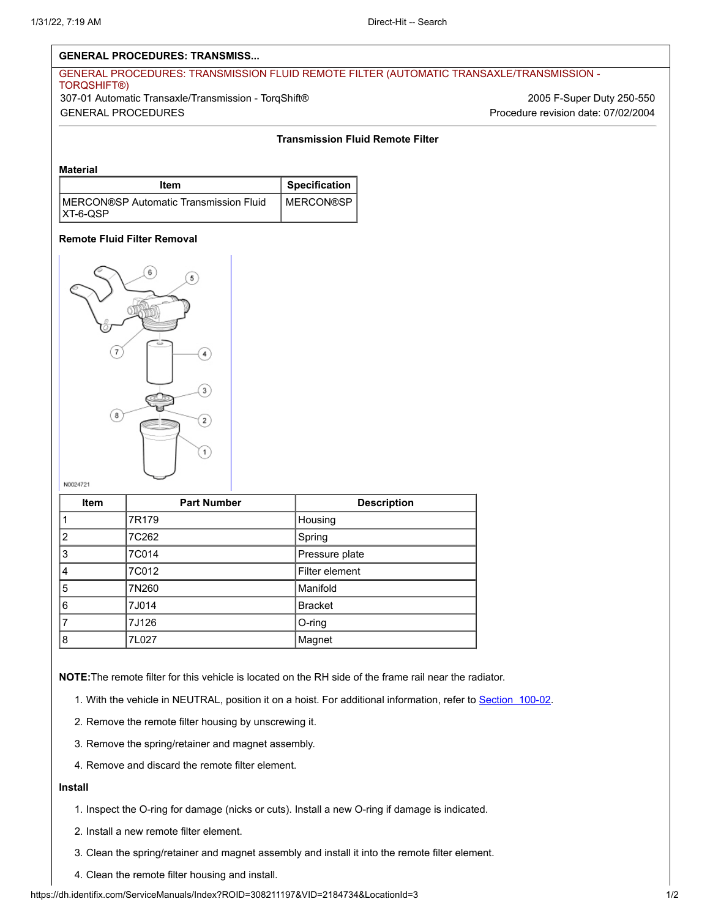## **GENERAL PROCEDURES: TRANSMISS...**

# GENERAL PROCEDURES: TRANSMISSION FLUID REMOTE FILTER (AUTOMATIC TRANSAXLE/TRANSMISSION - TORQSHIFT®) 307-01 Automatic Transaxle/Transmission - TorqShift® 2005 F-Super Duty 250-550 GENERAL PROCEDURES Procedure revision date: 07/02/2004

## **Transmission Fluid Remote Filter**

#### **Material**

| Item                                                          | $\mid$ Specification $\mid$ |  |
|---------------------------------------------------------------|-----------------------------|--|
| <b>IMERCON®SP Automatic Transmission Fluid</b><br>$IXT-6-QSP$ | I MERCON®SP                 |  |

### **Remote Fluid Filter Removal**



| Item           | <b>Part Number</b> | <b>Description</b> |  |
|----------------|--------------------|--------------------|--|
|                | 7R179              | Housing            |  |
| $\overline{2}$ | 7C262              | Spring             |  |
| 3              | 7C014              | Pressure plate     |  |
| 4              | 7C012              | Filter element     |  |
| 5              | 7N260              | Manifold           |  |
| 6              | 7J014              | <b>Bracket</b>     |  |
|                | 7J126              | $O$ -ring          |  |
| 8              | 7L027              | Magnet             |  |

**NOTE:**The remote filter for this vehicle is located on the RH side of the frame rail near the radiator.

- 1. With the vehicle in NEUTRAL, position it on a hoist. For additional information, refer to Section 100-02.
- 2. Remove the remote filter housing by unscrewing it.
- 3. Remove the spring/retainer and magnet assembly.
- 4. Remove and discard the remote filter element.

## **Install**

- 1. Inspect the O-ring for damage (nicks or cuts). Install a new O-ring if damage is indicated.
- 2. Install a new remote filter element.
- 3. Clean the spring/retainer and magnet assembly and install it into the remote filter element.
- 4. Clean the remote filter housing and install.